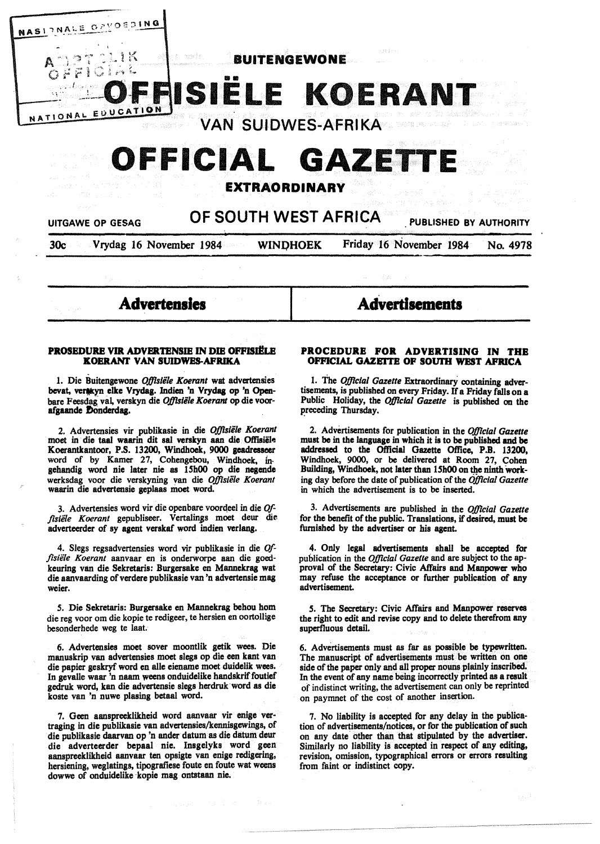$\mathbb{R}^{\mathbb{N}}$  . . . . . BUITENGEWONE

# t= *r·* I ~.;; .~ i·-'~ , . .,. **LETTE OF 1** ... **ISIELE KOERANT**  NATIONAL EQUEATION

VAN SUIDWES-AFRIKA

# **CEFICIAL GAZETTI**

# **EXTRAORDINARY**

# UITGAWE OP GESAG **OF SOUTH WEST AFRICA** PUBLISHED BY AUTHORITY

NASIENALE OPYOSDING

30c Vrydag 16 November 1984 WINI)HOEK Friday 16 November 1984 No. 4978

**Advertensles** 

# **Advertisements**

# **PROSEDURE VIR ADVERTENSJE** IN **DIE OFFISJ!LE KOERANT VAN SUIDWES-AFRIKA**

l. Die Buitengewone *OjJislile Koerant* wat advertensies bevat, verakyn elke Vrydag. Indien 'n Vrydag op 'n Openbare Feesdag vai verskyn die *Offislile Koerant* op die voorafgaande Donderdag.

2. Advertensies vir publikasie in die *Offisiile Koerant*  moet in die taal waarin dit sal verskyn aan die Offisiële Koerantkantoor, P.S. 13200, Windhoek, 9000 geadressecr word of by Kamer 27, Cohengebou, Windhoek, ingehandig word nie later nie as 15h00 op die negende werksdag voor die verskyning van die *Offisiile Koerant*  waarin die advertensie **geplaas** moet word.

3. Advertensies word vir die openbare voordeel in die Offisiële Koerant gepubliseer. Vertalings moet deur die adverteerder of sy agent verskaf word indien verlang.

4. Slegs regsadvertensies word vir publikasie in die *Offlsiile Koerant* aanvaar en is onderworpe aan die goedkeuring van die Sekretaris: Burgersake en Mannekrag wat die aanvaarding of verdere publikasie van 'n advertensie mag weier.

*5.* Die Sekretaris: Burgersake en Mannekrag behou hom die reg voor om die kopie te redigeer, te hersien en oortollige besonderhede weg te laat.

6. Advertensies moet sover moontlik getik wees. Die manuskrip van advertensies moet slegs op die een kant van die papier geskryf word en alle eiename moet duidelik wees. In gevalle waar 'n naam weens onduidelike handskrif foutief gedruk word, kan die advertensie slegs herdruk word as die koste van 'n nuwe plasing betaal word.

7. Geen aanspreeklikheid word aanvaar vir enige vertraging in die publikasie van advertensies/kennisgewings, of die publikasie daarvan op 'n ander datum as die datum deur die adverteerder bepaal nie. Insgelyks word geen aanspreeklikheid aanvaar ten opsigte van enige redigering, hersiening, weglatings, tipografiese foute en foute wat weens dowwe of onduidelike kopie mag ontstaan nie.

# **PROCEDURE FOR ADVERTISING IN THE OFFICIAL GAZETTE OF SOUTH WEST AFRICA**

1. The *Official Gazette* Extraordinary containing advertisements, is published on every Friday. If a Friday falls on a Public Holiday, the *Official Gazette* is published on the preceding Thursday.

2. Advertisements for publication in the *Of]lclal Gazette*  must **be** in the languase in which it is to be published and be addressed to the Official Gazette Office, P.B. 13200, Windhoek, 9000, or be delivered at Room 27, Cohen Building, Windhoek, not later than 15h00 on the ninth working day before the date of publication of the *Offlclal Gazette*  in which the advertisement is to be inserted.

3. Advertisements are published in the *Official Gazette*  for the benefit of the public. Translations, if desired, must be furnished by the advertiser or his agent.

4. Only legal advertisements shall be accepted for publication in the *Official Gazette* and are subject to the approval of the Secretary: Civic Affairs and **Manpower** who may refuse the acceptance or further publication of any advertisement.

*s.* The Secretary: Civic Affairs and Manpower reserves the right to edit and revise copy and to delete therefrom any superfluous detail.

6. Advertisements must as far as possible be typewritten. The manuscript of advertisements must be written on one side of the paper only and all proper nouns plainly inscribed. In the event of any name being incorrectly printed as a result of indistinct writing, the advertisement can only be reprinted on paymnet of the cost of another insertion.

7. No liability is accepted for any delay in the publication of advertisements/notices, or for the publication of such on any date other than that stipulated by the advertiser. Similarly no liability is accepted in respect of any editing, revision, omission, typographical errors or errors resulting from faint or indistinct copy.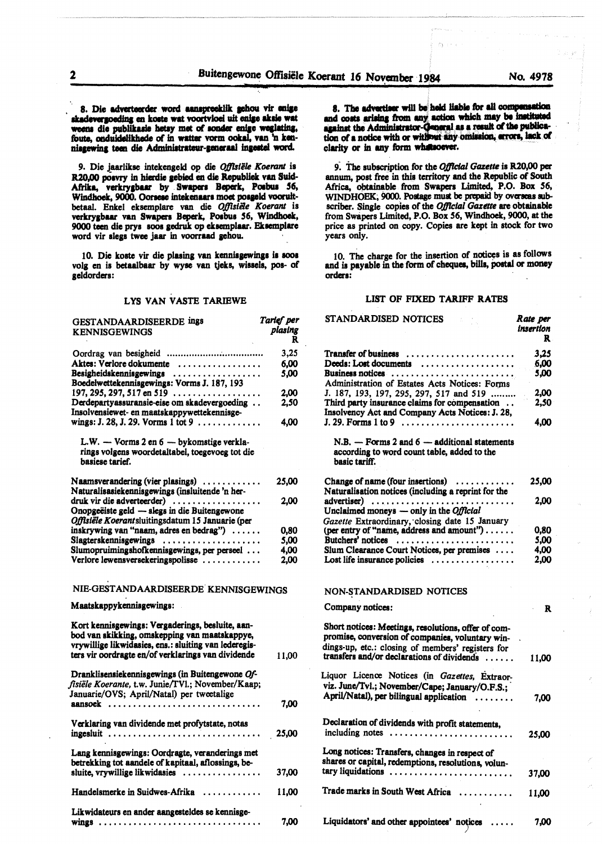skadevergoeding en koste wat voortvloei uit enige aksie wat weens die publikasie hetsy met of sonder enige weglating, 8. Die adverteerder word aanspreeklik gehou vir enige en koste wat aanspreeklik gehou vir enige<br>en koste wat voortvloei uit enige aksie wat<br>seeks hatma met of sonder anime mealsting. foute, onduidelikhede of in watter vorm ookal, van 'n kennisgewing teen die Administrateur-generaal ingestel word.

9. Die jaarlikse intekengeld op die *Offlstële Koerant* is R20.00 posvry in hierdie gebied en die Republiek van Suid-Afrika, verkrygbaar by Swapers Beperk, Posbus 56, Windhoek, 9000. Oorsese intekenaars moet posgeld voorultbetaal. Enkel ekaemplare van die *OjJlslile Koerant* is verkrygbaar van Swapers Beperk, Posbus 56, Windhoek, 9000 teen die prys soos gedruk op eksemplaar. Eksemplare word vir slegs twee jaar in voorraad gehou.

10. Die koste vir die plasing van kennisgewings is soos volg en is betaalbaar by wyse van tjeks, wissels, pos- of aeldordera:

# LYS VAN VASTE TARIEWE

| <b>GESTANDAARDISEERDE ings</b><br><b>KENNISGEWINGS</b>                                                                                                                                                           | Tarief per<br>plasing<br>R |
|------------------------------------------------------------------------------------------------------------------------------------------------------------------------------------------------------------------|----------------------------|
|                                                                                                                                                                                                                  | 3,25                       |
| Aktes: Verlore dokumente                                                                                                                                                                                         | 6,00                       |
| Besigheidskennisgewings<br>Boedelwettekennisgewings: Vorms J. 187, 193                                                                                                                                           | 5.00                       |
| 197, 295, 297, 517 en 519 $\dots$                                                                                                                                                                                | 2.00                       |
| Derdepartyassuransie-eise om skadevergoeding<br>Insolvensiewet- en maatskappywettekennisge-<br>wings: J. 28, J. 29. Vorms 1 tot 9                                                                                | 2,50<br>4,00               |
|                                                                                                                                                                                                                  |                            |
| L.W. - Vorms 2 en 6 - bykomstige verkla-<br>rings volgens woordetaltabel, toegevoeg tot die<br><b>basiese tarief.</b>                                                                                            |                            |
| Naamsverandering (vier plasings)<br>Naturalisasiekennisgewings (insluitende 'n her-                                                                                                                              | 25,00                      |
| druk vir die adverteerder)                                                                                                                                                                                       | 2,00                       |
| Onopgeëiste geld — slegs in die Buitengewone                                                                                                                                                                     |                            |
| Offisiële Koerantsluitingsdatum 15 Januarie (per                                                                                                                                                                 |                            |
| inskrywing van "naam, adres en bedrag")                                                                                                                                                                          | 0,80                       |
| Slagterskennisgewings                                                                                                                                                                                            | 5,00                       |
| Slumopruimingshofkennisgewings, per perseel                                                                                                                                                                      | 4,00                       |
| Verlore lewensversekeringspolisse                                                                                                                                                                                | 2,00                       |
| NIE-GESTANDAARDISEERDE KENNISGEWINGS                                                                                                                                                                             |                            |
| Maatskappykennisgewings:                                                                                                                                                                                         |                            |
| Kort kennisgewings: Vergaderings, besluite, aan-<br>bod van skikking, omskepping van maatskappye,<br>vrywillige likwidasies, ens.: sluiting van lederegis-<br>ters vir oordragte en/of verklarings van dividende | 11,00                      |
| Dranklisensiekennisgewings (in Buitengewone Of-<br>fisiële Koerante, t.w. Junie/TVI.; November/Kaap;<br>Januarie/OVS; April/Natal) per tweetalige                                                                |                            |
| aansoek                                                                                                                                                                                                          | 7.00                       |
| Verklaring van dividende met profytstate, notas<br>ingesluit                                                                                                                                                     | 25,00                      |
| Lang kennisgewings: Oordragte, veranderings met<br>betrekking tot aandele of kapitaal, aflossings, be-<br>sluite, vrywillige likwidasies                                                                         | 37,00                      |
| Handelsmerke in Suidwes-Afrika $\ldots$ ,,,,,,,,,,                                                                                                                                                               | 11,00                      |
|                                                                                                                                                                                                                  |                            |
| Likwidateurs en ander aangesteldes se kennisge-<br><u>wings </u>                                                                                                                                                 | 7,00                       |
|                                                                                                                                                                                                                  |                            |

8. The advertiser will be held liable for all compensation and costs arising from any action which may be instituted against the *Administrator-General* as a result of the publication of a notice with or without any omission, errors, lack of clarity or in any form whatsoever.

9. The subscription for the *Official Gazette* is R20,00 per annum, post free in this territory and the Republic of South Africa, obtainable from Swapers Limited, P.O. Box 56, WINDHOEK, 9000. Postage must be prepaid by overseas subscriber. Single copies of the *Official Gazette* are obtainable from Swapers Limited, P.O. Box *56,* Windhoek, 9000, at the price as printed on copy. Copies are kept in stock for two years only.

10. The charge for the insertion of notices is as follows and is payable in the form of cheques, bills, postal or money orders:

#### LIST OF FIXED TARIFF **RATES**

| STANDARDISED NOTICES                                                                                           | Rate per<br>insertion<br>R. |
|----------------------------------------------------------------------------------------------------------------|-----------------------------|
| <b>Transfer of business</b>                                                                                    | 3.25                        |
| Deeds: Lost documents                                                                                          | 6.00                        |
| Business notices                                                                                               | 5,00                        |
| Administration of Estates Acts Notices: Forms                                                                  |                             |
| J. 187, 193, 197, 295, 297, 517 and 519                                                                        | 2.00                        |
| Third party insurance claims for compensation                                                                  | 2,50                        |
| Insolvency Act and Company Acts Notices: J. 28,                                                                |                             |
|                                                                                                                | 4.00                        |
| $N.B. - Forms 2 and 6 - additional statements$<br>according to word count table, added to the<br>basic tariff. |                             |
| Change of name (four insertions) $\dots\dots\dots$                                                             | 25,00                       |
| Naturalisation notices (including a reprint for the                                                            |                             |
| advertiser)                                                                                                    | 2.00                        |
| Unclaimed moneys - only in the Official                                                                        |                             |
| Gazette Extraordinary, closing date 15 January                                                                 |                             |
| (per entry of "name, address and amount")                                                                      | 0.80                        |
| Butchers' notices                                                                                              | 5,00                        |
| Slum Clearance Court Notices, per premises                                                                     | 4.00                        |
| Lost life insurance policies $\ldots \ldots \ldots \ldots \ldots$                                              | 2.00                        |
| NON-STANDARDISED NOTICES                                                                                       |                             |
| Company notices:                                                                                               | R                           |
| Short notices: Meetings, resolutions, offer of com-                                                            |                             |
| promise, conversion of companies, voluntary win-                                                               |                             |
| dings-up, etc.: closing of members' registers for<br>transfers and/or declarations of dividends                | 11.00                       |
|                                                                                                                |                             |
| Liquor Licence Notices (in Gazettes, Extraor-                                                                  |                             |
| viz. June/Tvl.; November/Cape; January/O.F.S.;                                                                 |                             |
| April/Natal), per bilingual application                                                                        | 7.00                        |
| Declaration of dividends with profit statements,                                                               |                             |
| including notes                                                                                                | 25,00                       |
|                                                                                                                |                             |
| Long notices: Transfers, changes in respect of                                                                 |                             |
| shares or capital, redemptions, resolutions, volun-                                                            |                             |
| tary liquidations                                                                                              | 37,00                       |
| Trade marks in South West Africa                                                                               | 11,00                       |
|                                                                                                                |                             |
| Liquidators' and other appointees' notices                                                                     | 7.00                        |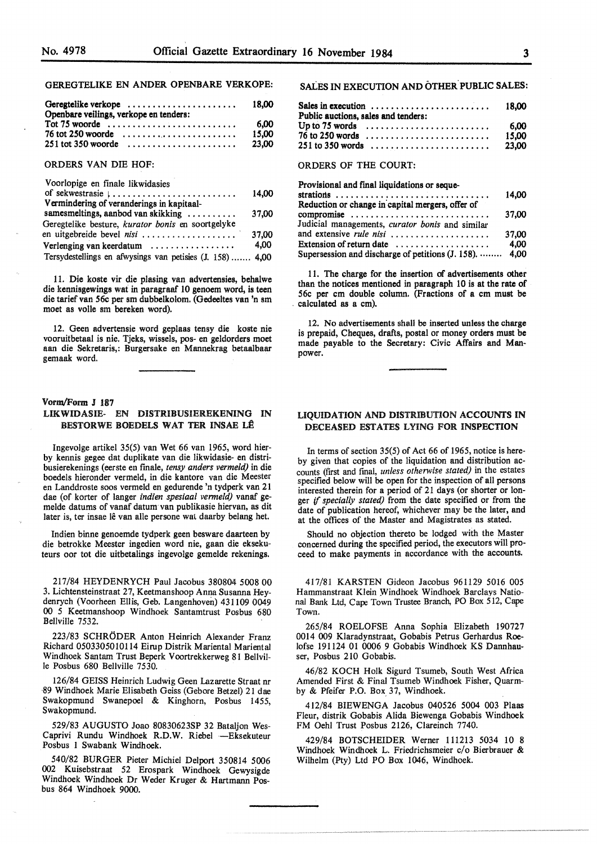# GEREGTELIKE EN ANDER OPENBARE VERKOPE:

| Geregtelike verkope<br>Openbare veilings, verkope en tenders:      | 18.00 |
|--------------------------------------------------------------------|-------|
| Tot 75 woorde $\dots\dots\dots\dots\dots\dots\dots\dots\dots\dots$ | 6.00  |
|                                                                    | 15.00 |
| $251$ tot 350 woorde $\ldots \ldots \ldots \ldots \ldots \ldots$   | 23.00 |

#### ORDERS VAN DIE HOF:

| Voorlopige en finale likwidasies                                  |       |
|-------------------------------------------------------------------|-------|
| of sekwestrasie $  \dots   \dots   \dots   \dots   \dots   \dots$ | 14.00 |
| Vermindering of veranderings in kapitaal-                         |       |
| samesmeltings, aanbod van skikking                                | 37,00 |
| Geregtelike besture, kurator bonis en soortgelyke                 |       |
| en uitgebreide bevel nisi                                         | 37.00 |
| Verlenging van keerdatum                                          | 4,00  |
| Tersydestellings en afwysings van petisies (J. 158)  4,00         |       |

11. Die koste vir die plasing van advertensies, behalwe die kennisgewings wat in paragraaf 10 genoem word, is teen die tarief van 56c per sm dubbelkolom. (Gedeeltes van 'n sm moet as volle sm bereken word).

12. Geen advertensie word geplaas tensy die koste nie vooruitbetaal is nie. Tjeks, wissels, pos- en geldorders moet aan die Sekretaris,: Burgersake en Mannekrag betaalbaar gemaak word.

### **Vorm/Form J** 187 LIKWIDASIB- EN DISTRIBUSIEREKENING IN **BESTORWE BOEDELS WAT TER INSAE LÊ**

Ingevolge artikel 35(5) van Wet 66 van 1965, word hierby kennis gegee dat duplikate van die likwidasie- en distribusierekenings ( eerste en finale, *tensy anders vermeld)* in die boedels hieronder vermeld, in die kantore van die Meester en Landdroste soos vermeld en gedurende 'n tydperk van 21 dae (of korter of langer *indien spesiaal vermeld)* vanaf gemelde datums of vanaf datum van publikasie hiervan, as dit later is, ter insae lê van alle persone wat daarby belang het.

Indien binne genoemde tydperk geen besware daarteen by die betrokke Meester ingedien word nie, gaan die eksekuteurs oor tot die uitbetalings ingevolge gemelde rekenings.

217/84 HEYDENRYCH Paul Jacobus 380804 5008 00 3. Lichtensteinstraat 27, Keetmanshoop Anna Susanna Heydenrych (Voorheen Ellis, Geb. Langenhoven) 431109 0049 00 5 Keetmanshoop Windhoek Santamtrust Posbus 680 Bellville 7532.

223/83 SCHRODER Anton Heinrich Alexander Franz Richard 0503305010114 Eirup Distrik Mariental Mariental Windhoek Santam Trust Beperk Voortrekkerweg 81 Bellville Posbus 680 Bellville 7530.

126/84 GEISS Heinrich Ludwig Geen Lazarette Straat nr -89 Windhoek Marie Elisabeth Geiss (Gebore Betzel) 21 dae Swakopmund Swanepoel & Kinghorn, Posbus 1455, Swakopmund.

529/83 AUGUSTO Joao 80830623SP 32 Bataljon Wes-Caprivi Rundu Windhoek R.D.W. Riebel -Eksekuteur Posbus 1 Swabank Windhoek.

540/82 BURGER Pieter Michie! Delport 350814 5006 002 Kuisebstraat 52 Erospark Windhoek Gewysigde Windhoek Windhoek Dr Weder Kruger & Hartmann Posbus 864 Windhoek 9000.

# SALES IN EXECUTION AND OTHER. PUBLIC SALES:

| Sales in execution $\dots\dots\dots\dots\dots\dots\dots\dots$<br>Public auctions, sales and tenders:                                     |  | 18.00         |
|------------------------------------------------------------------------------------------------------------------------------------------|--|---------------|
| Up to 75 words $\dots \dots \dots \dots \dots \dots \dots \dots$<br>$76$ to 250 words $\ldots \ldots \ldots \ldots \ldots \ldots \ldots$ |  | 6.00<br>15.00 |
|                                                                                                                                          |  | 23.00         |

# ORDERS OF THE COURT:

| Provisional and final liquidations or seque-            |       |
|---------------------------------------------------------|-------|
| strations                                               | 14.00 |
| Reduction or change in capital mergers, offer of        |       |
| compromise                                              | 37,00 |
| Judicial managements, curator bonis and similar         |       |
| and extensive <i>rule nisi</i>                          | 37.00 |
| Extension of return date                                | 4.00  |
| Supersession and discharge of petitions (J. 158).  4,00 |       |

11. The charge for the insertion of advertisements other than the notices mentioned in paragraph 10 is at the rate of 56c per cm double column. (Fractions of a cm must be . calculated as a cm).

12. No advertisements shall be inserted unless the charge is prepaid, Cheques, drafts, postal or money orders must be made payable to the Secretary: Civic Affairs and Manpower.

### LIQUIDATION AND DISTRIBUTION ACCOUNTS IN DECEASED ESTATES LYING FOR INSPECTION

In terms of section 35(5) of Act 66 of 1965, notice is hereby given that copies of the liquidation and distribution accounts (first and final, *unless otherwise stated)* in the estates specified below will be open for the inspection of all persons interested therein for a period of 21 days (or shorter or longer if *specially stated)* from the date specified or from the date of publication hereof, whichever may be the later, and at the offices of the Master and Magistrates as stated.

Should no objection thereto be lodged with the Master concerned during the specified period, the executors will proceed to make payments in accordance with the accounts.

417/81 KARSTEN Gideon Jacobus 961129 5016 005 Hammanstraat Klein Windhoek Windhoek Barclays National Bank Ltd, Cape Town Trustee Branch, PO Box 512, Cape Town.

265/84 ROELOFSE Anna Sophia Elizabeth 190727 0014 009 Klaradynstraat, Gobabis Petrus Gerhardus Roelofse 191124 01 0006 9 Gobabis Windhoek KS Dannhauser, Posbus 210 Gobabis.

46/82 KOCH Holk Sigurd Tsumeb, South West Africa Amended First & Final Tsumeb Windhoek Fisher, Quarmby & Pfeifer P.O. Box. 37, Windhoek.

412/84 BIEWENGA Jacobus 040526 5004 003 Plaas Fleur, distrik Gobabis Alida Biewenga Gobabis Windhoek FM Oehl Trust Posbus 2126, Clareinch 7740.

429/84 BOTSCHEIDER Werner 111213 5034 10 8 Windhoek Windhoek L. Friedrichsmeier c/o Bierbrauer & Wilhelm (Pty) Ltd PO Box 1046, Windhoek.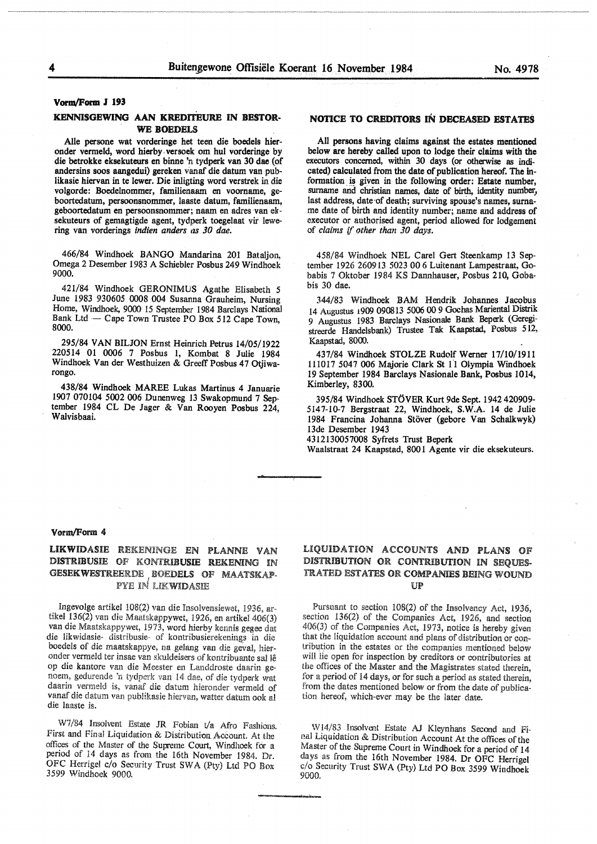#### **VomvFonn J 193**

#### **KENNISGEWING AAN KREDITEURE IN BESTOR-**WE BOEDELS

Alle persone wat vorderinge het teen die boedels hieronder vermetd, word hierby. versoek om hul vorderinge by die betrokke eksekuteurs en binne 'n tydperk van 30 dae (of andersins soos aangedui) gereken vanaf die datum van publikasie hiervan in te lewer. Die inligting word verstrek in die volgorde: Boedelnommer, familienaam en voorname, geboortedatum, persoonsnommer, laaste datum, familienaam, geboortedatum en persoonsnommer; naam en adres van elrsekuteurs of gemagtigde agent, tydperk toegelaat vir lewering van vorderings *indien anders as 30 dae.* 

466/84 Windhoek BANGO Mandarina 201 Bataljon, Omega 2 Desember 1983 A Schiebler Posbus 249 Windhoek 9000.

421/84 Windhoek GERONIMUS Agathe Elisabeth *5*  June 1983 930605 0008 004 Susanna Grauheim, Nursing Home, Windhoek, 9000 15 September 1984 Barclays National Bank Ltd - Cape Town Trustee PO Box 512 Cape Town, 8000.

295/84 **VAN BILJON** Ernst Heinrich Petrus 14/05/1922 220514 01 0006 7 Posbus l, Kombat 8 Julie 1984 Windhoek Van der Westhuizen & Greetf Posbus 47 Otjiwarongo.

438/84 Windhoek MAREE Lukas Martinus 4 Januarie 1907 070104 5002 006 Dunenweg 13 Swakopmund 7 September 1984 CL De Jager & Van Rooyen Posbus 224, Walvisbaai.

# NOTICE TO CREDITORS IN DECEASED ESTATES

All persons having claims against the estates mentioned below are hereby called upon to lodge their claims with the executors concerned, within 30 days (or otherwise as indicated) calculated from the date of publication hereof. The information is given in the following order: Estate number, surname and christian names, date of birth, identity number, last address, date of death; surviving spouse's names, surname date of birth and identity number; name and address of executor or authorised agent, period allowed for lodgement of *claims* if *other than 30 days.* 

458/84 Windhoek NEL Carel Gert Steenkamp 13 September 1926 260913 5023 00 6 Luitenant Lampestraat, Gobabis 7 Oktober 1984 KS Dannhauser, Posbus 210, Gobabis 30 dae.

344/83 Windhoek BAM Hendrik Johannes Jacobus 14 Augustus 1909 090813 5006 00 9 Gochas Mariental Distrik 9 Augustus 1983 Barclays Nasionale Bank Beperk (Geregistreerde Handelsbank) Trustee Tak Kaapstad, Posbus 512, Kaapstad, 8000.

437/84 Windhoek STOLZE Rudolf Werner 17/10/1911 111017 5047 006 Majorie Clark St 11 Olympia Windhoek 19 September 1984 Barclays Nasionale Bank, Posbus 1014, Kimberley, 8300.

395/84 Windhoek STOVER Kurt 9de Sept. 1942 420909- 514 7-10-7 Bergstraat 22, Windhoek, **S.W.A.** 14 de Julie 1984 Francina Johanna Stöver (gebore Van Schalkwyk) 13de Desember 1943

4312130057008 Syfrets Trust Beperk

Waalstraat 24 Kaapstad, 800 l Agente vir die eksekuteurs.

#### Vorm/Form 4

# LIKWIDASIE REKENINGE EN PLANNE VAN DISTRIBUSIE OF KONTRIBUSIE REKEMNG IN GESEKWESTREERDE BOEDELS OF MAATSKAP-I PYE **IN** LIKWIDASIB

Ingevolge artikel 108(2) van die Insolvensiewet, 1936, artikel  $136(2)$  van die Maatskappywet, 1926, en artikel 406(3) van die Maatskappywet, 1973, word hierby kennis **gegoe** dat die likwidasie- distribusie- of kontribusierekening\_s in die boedels of die maatskappye, na gelang van die geval, hieronder vermeld ter insae van skuldeisers of kontribuante sal lê op die kantore van die Meester en Landdroste daarin genoem, gedurende 'n tydperk van 14 dae, of die **tydperk** wat daarin vermeld is, vanaf die datum hieronder vermeld of vanaf die datum van publikasie hiervan, watter datum ook al die laaste is.

W7/84 Insolvent Estate JR Fobian t/a Afro Fashions. First and Final Liquidation & Distribution Account. At the offices of the Master of the Supreme Court, Windhoek for a period of 14 days as from the 16th November 1984. Dr. OFC Herrigel c/o Security Trust SW A (Pty) Ltd PO Box 3599 Windhoek 9000.

# LIQUIDATION ACCOUNTS AND PLANS OF DISTRIBUTION OR CONTRIBUTION IN SEQUES-TRATED ESTATES OR COMPANIES BEING WOUND UP

Pursuant to section 108(2) of the Insolvency Act, 1936, section 136(2) of the Companies Act, 1926, and section  $406(3)$  of the Companies Act, 1973, notice is hereby given that the liquidation account and plans of distribution or contribution the estates or the companies mentioned below will lie open for inspection by creditors or contributories at the offices of the Master and the Magistrates stated therein, for a period of 14 days, or for such a period as stated therein, from the dates mentioned below or from the date of publication hereof, which-ever may be the later date.

W14/83 Insolvent Estate AJ Kleynhans Second and Final Liquidation & Distribution Account At the offices of the Master of the Supreme Court in Windhoek for a period of 14 days as from the 16th November 1984. Dr OFC Herrigel c/o Security Trust SWA (Pty) Ltd PO Box 3599 Windhoek 9000.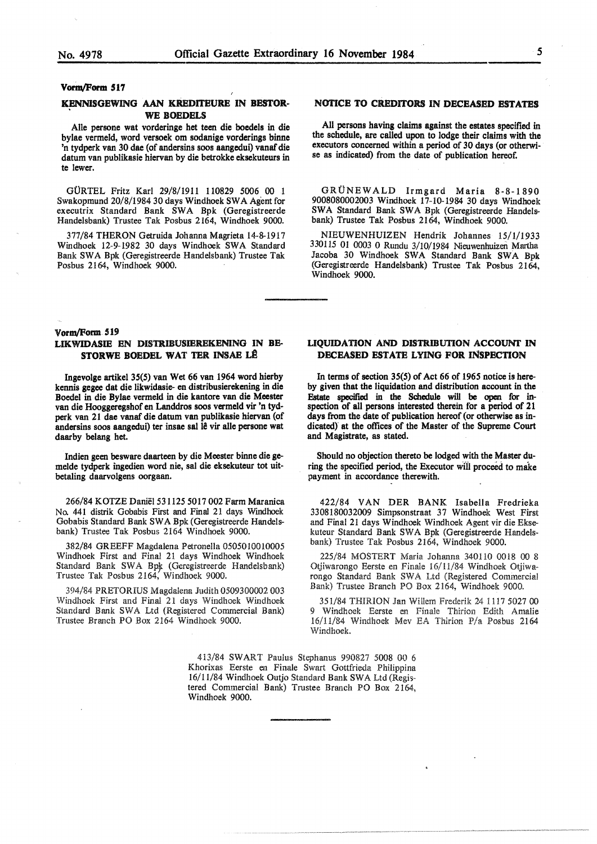#### Vorm/Form S17

#### KENNISGEWING AAN KREDITEURE IN BESTOR-WE BOEDELS

Alle persone wat vorderinge het teen die boedels in die bylae vermeld, word versoek om sodanige vorderings binne 'n tydperk van 30 dae (of andersins soos aangedui) vanaf die datum van publikasie hiervan by die betrokke eksekuteurs in te lewer.

GORTEL Fritz Karl 29/8/1911 110829 5006 00 l Swakopmund 20/8/1984 30 days Windhoek SW A Agent for executrix Standard Bank SWA Bpk (Geregistreerde Handelsbank) Trustee Tak Posbus 2164, Windhoek 9000.

377/84 THERON Getruida Johanna Magrieta 14-8-1917 Windhoek 12-9-1982 30 days Windhoek SWA Standard Bank SWA Bpk (Geregistreerde Handelsbank) Trustee Tak Posbus 2164, Windhoek 9000.

# **NOTICE TO CREDITORS IN DECEASED ESTATES**

All persons having claims against the estates specified in the schedule, are called upon to lodge their claims with the executors concerned within a period of 30 days (or otherwise as indicated) from the date of publication hereof.

GRÜNEWALD Irmgard Maria 8-8-1890 9008080002003 Windhoek 17-10-1984 30 days Windhoek SWA Standard Bank SWA Bpk (Geregistreerde Handelsbank) Trustee Tak Posbus 2164, Windhoek 9000.

NIEUWENHUIZEN Hendrik Johannes 15/1/1933 330115 01 0003 0 Rundu 3/10/1984 Nieuwenhuizen Martha Jacoba 30 Windhoek SWA Standard Bank SWA Bpk (Geregistreerde Handelsbank) Trustee Tak Posbus 2164, Windhoek 9000.

#### Vorm/Form 519

# LIKWIDASIE EN DISTRIBUSIEREKENING IN BE-STORWE BOEDEL WAT TER INSAE LÊ

Ingevolge artikel 35(5) van Wet 66 van 1964 word hierby kennis **gegee** dat die likwidasie- en distribusierekening in die Doede! in die Bylae vermeld in die kantore van die Meester van die Hooggeregshof en Landdros soos vermeld vir 'n tydperk van 21 dae vanaf die datum van publikasie hiervan (of andersins soos aangedui) ter insae sal 18 vir alle persone wat daarby belang bet.

Indien geen besware daarteen by die Meester binne die gemelde tydperk ingedien word nie, sal die eksekuteur tot uitbetaling daarvolgens oorgaan.

266/84 KOTZE Daniel 531125 5017 002 Farm Maranica No. 441 distrik Gobabis First and Final 21 days Windhoek Gobabis Standard Bank SWA Bpk (Geregistreerde Handelsbank) Trustee Tak Posbus 2164 Windhoek 9000.

382/84 GREEFF Magdalena Petronella 0505010010005 Windhoek First and Final 21 days Windhoek Windhoek Standard Bank SWA Bpk (Geregistreerde Handelsbank) Trustee Tak Posbus 2164, Windhoek 9000.

394/84 PRETORIUS Magdalena Judith 0509300002 003 Windhoek First and Final 21 days Windhoek Windhoek Standard Bank SWA Ltd (Registered Commercial Bank) Trustee Branch PO Box 2164 Windhoek 9000.

#### **LIQUIDATION AND DISTRIBUTION ACCOUNT IN DECEASED ESTATE LYING FOR INSPECTION**

In **terms of section 35(5) of Act 66 of 1965 notice is hereby given that the liquidation and distribution account** in the **F.state specified** in **the Sdiedule will be open for** in**spection of all persons interested therein for a period of 21 days from the date of publication hereof (or otherwise as** in**dicated)" at the offices of the Master of the Supreme Court and Magistrate, as stated.** 

**Should no objection thereto be lodged with the Master du**ring the specified period, the Executor will proceed to make **payment in accordance therewith.** 

422/84 VAN DER BANK Isabella Fredrieka 3308180032009 Simpsonstraat 37 Windhoek West First and Final 21 days Windhoek Windhoek Agent vir die Eksekuteur Standard Bank SWA Bpk (Geregistreerde Handelsbank) Trustee Tak Posbus 2164, Windhoek 9000.

225/84 MOSTERT Maria Johanna 340110 0018 00 8 Otjiwarongo Eerste en Finale 16/11/84 Windhoek Otjiwarongo Standard Bank SWA Ltd (Registered Commercial Bank) Trustee Branch PO Box 2164, Windhoek 9000.

351/84 THIRION Jan Willem Frederik 24 1117 5027 00 9 Windhoek Eerste en Finale Thirion Edith Amalie 16/11/84 Windhoek Mev EA Thirion P/a Posbus 2164 Windhoek.

413/84 SWART Paulus Stephanus 990827 5008 00 6 Khorixas Eerste en Finale Swart Gottfrieda Philippina 16/11/84 Windhoek Outjo Standard Bank SWA Ltd (Registered Commercial Bank) Trustee Branch PO Box 2164, Windhoek 9000.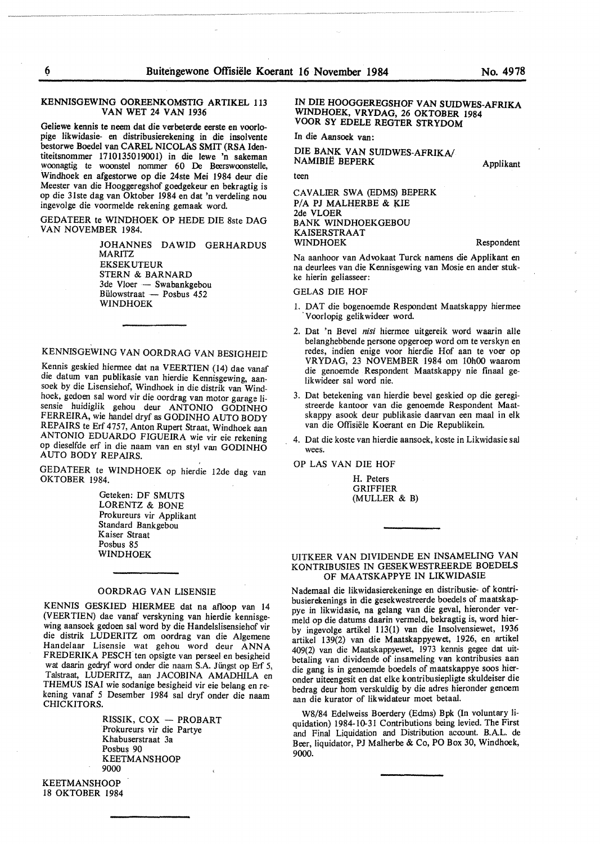#### KENNISGEWING OOREENKOMSTIG ARTIKEL 113 VAN WET 24 VAN 1936

Geliewe kennis te neem dat die verbeterde eerste en voorlopige likwidasie- en distribusierekening in die insolvente bestorwe Boedel van CAREL NICOLAS SMIT (RSA Identiteitsnommer 1710135019001) in die lewe 'n sakeman woonagtig te woonstel nommer 60 De Beerswoonstelle, Windhoek en afgestorwe op die 24ste Mei 1984 deur die Meester van die Hooggeregshof goedgekeur en bekragtig is op die 31ste dag van Oktober 1984 en dat 'n verdeling nou ingevolge die voormelde rekening gemaak word.

GEDATEER te WINDHOEK OP HEDE DIE 8ste DAG VAN NOVEMBER 1984.

> JOHANNES DAWID GERHARDUS MARITZ EKSEKUTEUR STERN & BARNARD 3de Vloer — Swabankgebou Bülowstraat — Posbus 452 WINDHOEK

KENNISGEWING VAN OORDRAG VAN BESIGHEID

Kennis geskied hiermee dat na VEERTIEN (14) dae vanaf die datum van publikasie van hierdie Kennisgewing, aansoek by die Lisensiehof, Windhoek in die distrik van Windhoek, gedoen sal word vir die oordrag van motor garage lisensie huidiglik gehou deur **ANTONIO GODINHO**  FERREIRA, wie handel dryf as GODINHO AUTO BODY REPAIRS te Erf 4757, Anton Rupert Straat, Windhoek aan ANTONIO EDUARDO FIGUEIRA wie vir eie rekening op dieselfde erf in die naam van en styl van GODINHO AUTO BODY REPAIRS.

GEDATEER te WINDHOEK op hierdie 12de dag van OKTOBER 1984.

Geteken: DF **SMUTS**  LORENTZ & BONE Prokureurs vir Applikant Standard Bankgebou Kaiser Straat Posbus 85 WINDHOEK

#### OORDRAG VAN LISENSIE

KENNIS GESKIED HIERMEE dat na afloop van 14 (VEER TIEN) dae vanaf verskyning van hierdie kennisgewing aansoek gedoen sal word by die Handelslisensiehof vir die distrik LUDERITZ om oordrag van die Algemene Handelaar Lisensie wat gehou word deur ANNA FREDERIKA PESCH ten opsigte van perseel en besigheid wat daarin gedryf word onder die naam S.A. Jiingst op Erf 5, Talstraat, LUDERITZ, aan JACOBINA AMADHILA en THEMUS ISAI wie sodanige besigheid vir eie belang en rekening vanaf 5 Desember 1984 sat dryf onder die naam CHICKITORS.

> RISSIK, COX - PROBART Prokureurs vir die Partye Khabuserstraat 3a Posbus 90 KEETMANSHOOP 9000

KEETMANSHOOP 18 OKTOBER 1984

### **IN DIE HOOGGEREGSHOF VAN SUIDWES-AFRIKA WINDHOEK, VRYDAG, 26 OKTOBER 1984 VOOR SY EDELE REGTER STRYDOM**

In **die Aansoek van:** 

**DIE BANK VAN SUIDWES-AFRIKA/ NAMIBIË BEPERK** 

teen

CAVALIER SWA (EDMS) BEPERK P/A PJ MALHERBE & KIE 2de VLOER BANK WINDHOEKGEBOU KAISERSTRAAT WINDHOEK

Respondent

Applikant

Na aanhoor van Advokaat Turck namens die Applikant en na deurlees van die Kennisgewing van Mosie en ander stukke hierin geliasseer:

GELAS DIE HOF

- l. DAT die bogenoemde Respondent Maatskappy hiermee Voorlopig gelikwideer word.
- 2. Oat 'n Bevel *nisi* hiermee uitgereik word waarin alle belanghebbende persone opgeroep word om te verskyn en redes, indien enige voor hierdie Hof aan te voer op VRYDAG, 23 NOVEMBER 1984 om 10h00 waarom die genoemde Respondent Maatskappy nie finaal gelikwideer sal word nie.
- 3. Oat betekening van hierdie bevel geskied op die geregistreerde kantoor van die genoemde Respondent Maatskappy asook deur publikasie daarvan een maal in elk van die Offisiele Koerant en Die Republikein.
- 4. Dat die koste van hierdie aansoek, koste in Likwidasie sal wees.

OP LAS VAN DIE HOF

H. Peters GRIFFIER (MULLER & B)

#### UITKEER VAN DIVIDENDE EN INSAMELING VAN KONTRIBUSIES IN GESEKWESTREERDE BOEDELS OF MAATSKAPPYE IN LIKWIDASIE

Nademaal die likwidasierekeninge en distribusie- of kontribusierekenings in die gesekwestreerde boedels of maatskappye in likwidasie, na gelang van die geval, hieronder vermeld op die datums daarin vermeld, bekragtig is, word hierby ingevolge artikel 113(1) van die Insolvensiewet, 1936 artikel 139(2) van die Maatskappyewet, 1926, en artikel 409(2) van die Maatskappyewet, 1973 kennis gegee dat uitbetaling van dividende of insameling van kontribusies aan die gang is in genoemde boedels of maatskappye soos hieronder uiteengesit en dat elke kontribusiepligte skuldeiser die bedrag deur hom verskuldig by die adres hieronder genoem aan die kurator of likwidateur moet betaal.

W8/84 Edelweiss Boerdery (Edms) Bpk (In voluntary liquidation) 1984-10-31 Contributions being levied. The First and Final Liquidation and Distribution account. B.A.L. de Beer, liquidator, PJ Malherbe & Co, PO Box 30, Windhoek, 9000.